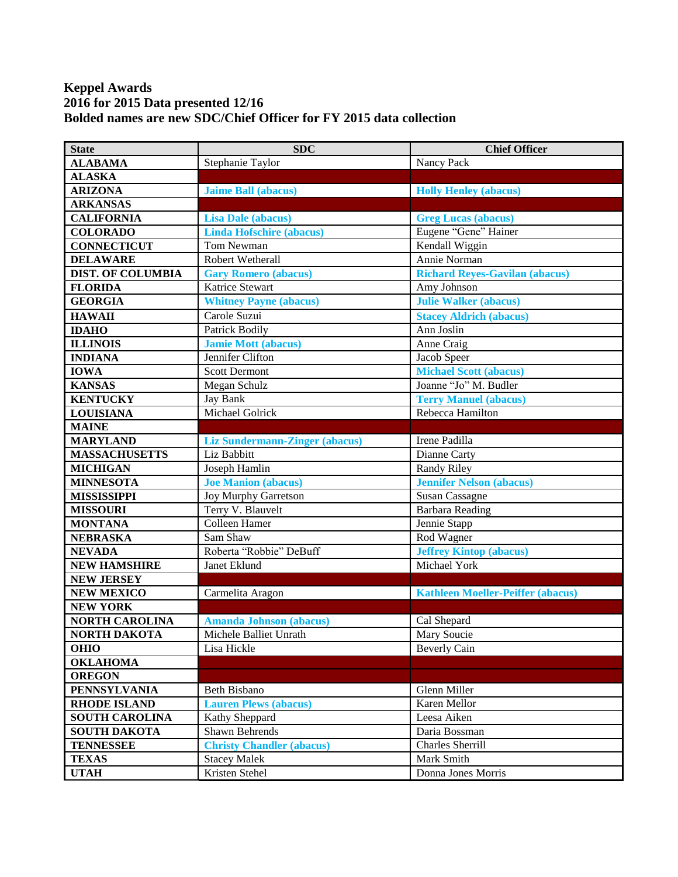## **Keppel Awards 2016 for 2015 Data presented 12/16 Bolded names are new SDC/Chief Officer for FY 2015 data collection**

| <b>State</b>             | <b>SDC</b>                            | <b>Chief Officer</b>                     |
|--------------------------|---------------------------------------|------------------------------------------|
| <b>ALABAMA</b>           | Stephanie Taylor                      | Nancy Pack                               |
| <b>ALASKA</b>            |                                       |                                          |
| <b>ARIZONA</b>           | <b>Jaime Ball (abacus)</b>            | <b>Holly Henley (abacus)</b>             |
| <b>ARKANSAS</b>          |                                       |                                          |
| <b>CALIFORNIA</b>        | <b>Lisa Dale (abacus)</b>             | <b>Greg Lucas (abacus)</b>               |
| <b>COLORADO</b>          | <b>Linda Hofschire (abacus)</b>       | Eugene "Gene" Hainer                     |
| <b>CONNECTICUT</b>       | Tom Newman                            | Kendall Wiggin                           |
| <b>DELAWARE</b>          | Robert Wetherall                      | Annie Norman                             |
| <b>DIST. OF COLUMBIA</b> | <b>Gary Romero (abacus)</b>           | <b>Richard Reyes-Gavilan (abacus)</b>    |
| <b>FLORIDA</b>           | Katrice Stewart                       | Amy Johnson                              |
| <b>GEORGIA</b>           | <b>Whitney Payne (abacus)</b>         | <b>Julie Walker (abacus)</b>             |
| <b>HAWAII</b>            | Carole Suzui                          | <b>Stacey Aldrich (abacus)</b>           |
| <b>IDAHO</b>             | Patrick Bodily                        | Ann Joslin                               |
| <b>ILLINOIS</b>          | <b>Jamie Mott (abacus)</b>            | Anne Craig                               |
| <b>INDIANA</b>           | Jennifer Clifton                      | Jacob Speer                              |
| <b>IOWA</b>              | <b>Scott Dermont</b>                  | <b>Michael Scott (abacus)</b>            |
| <b>KANSAS</b>            | Megan Schulz                          | Joanne "Jo" M. Budler                    |
| <b>KENTUCKY</b>          | Jay Bank                              | <b>Terry Manuel (abacus)</b>             |
| <b>LOUISIANA</b>         | Michael Golrick                       | Rebecca Hamilton                         |
| <b>MAINE</b>             |                                       |                                          |
| <b>MARYLAND</b>          | <b>Liz Sundermann-Zinger (abacus)</b> | Irene Padilla                            |
| <b>MASSACHUSETTS</b>     | Liz Babbitt                           | Dianne Carty                             |
| <b>MICHIGAN</b>          | Joseph Hamlin                         | <b>Randy Riley</b>                       |
| <b>MINNESOTA</b>         | <b>Joe Manion (abacus)</b>            | <b>Jennifer Nelson (abacus)</b>          |
| <b>MISSISSIPPI</b>       | Joy Murphy Garretson                  | <b>Susan Cassagne</b>                    |
| <b>MISSOURI</b>          | Terry V. Blauvelt                     | <b>Barbara Reading</b>                   |
| <b>MONTANA</b>           | Colleen Hamer                         | Jennie Stapp                             |
| <b>NEBRASKA</b>          | Sam Shaw                              | Rod Wagner                               |
| <b>NEVADA</b>            | Roberta "Robbie" DeBuff               | <b>Jeffrey Kintop (abacus)</b>           |
| <b>NEW HAMSHIRE</b>      | Janet Eklund                          | Michael York                             |
| <b>NEW JERSEY</b>        |                                       |                                          |
| <b>NEW MEXICO</b>        | Carmelita Aragon                      | <b>Kathleen Moeller-Peiffer (abacus)</b> |
| <b>NEW YORK</b>          |                                       |                                          |
| <b>NORTH CAROLINA</b>    | <b>Amanda Johnson (abacus)</b>        | Cal Shepard                              |
| <b>NORTH DAKOTA</b>      | Michele Balliet Unrath                | Mary Soucie                              |
| <b>OHIO</b>              | Lisa Hickle                           | <b>Beverly Cain</b>                      |
| <b>OKLAHOMA</b>          |                                       |                                          |
| <b>OREGON</b>            |                                       |                                          |
| <b>PENNSYLVANIA</b>      | <b>Beth Bisbano</b>                   | Glenn Miller                             |
| <b>RHODE ISLAND</b>      | <b>Lauren Plews (abacus)</b>          | Karen Mellor                             |
| <b>SOUTH CAROLINA</b>    | Kathy Sheppard                        | Leesa Aiken                              |
| <b>SOUTH DAKOTA</b>      | Shawn Behrends                        | Daria Bossman                            |
| <b>TENNESSEE</b>         | <b>Christy Chandler (abacus)</b>      | Charles Sherrill                         |
| <b>TEXAS</b>             | <b>Stacey Malek</b>                   | Mark Smith                               |
| <b>UTAH</b>              | Kristen Stehel                        | Donna Jones Morris                       |